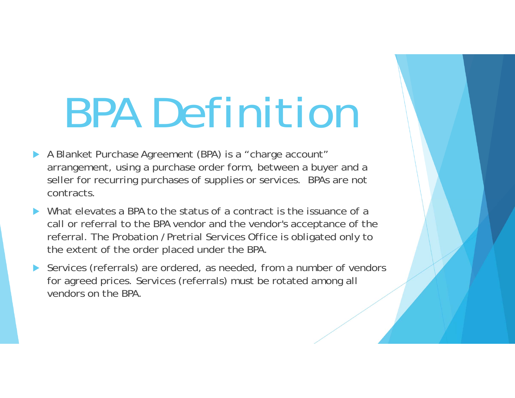## BPA Definition

- A Blanket Purchase Agreement (BPA) is a "charge account" arrangement, using a purchase order form, between a buyer and a seller for recurring purchases of supplies or services. BPAs are not contracts.
- What elevates a BPA to the status of a contract is the issuance of a call or referral to the BPA vendor and the vendor's acceptance of the referral. The Probation /Pretrial Services Office is obligated only to the extent of the order placed under the BPA.
- Services (referrals) are ordered, as needed, from a number of vendors for agreed prices. Services (referrals) must be rotated among all vendors on the BPA.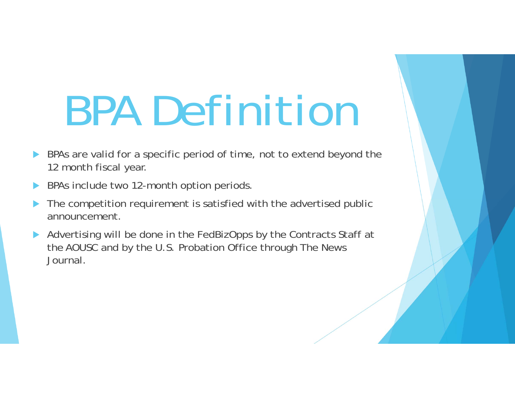## BPA Definition

- $\blacktriangleright$  BPAs are valid for a specific period of time, not to extend beyond the 12 month fiscal year.
- $\blacktriangleright$ BPAs include two 12-month option periods.
- $\blacktriangleright$  The competition requirement is satisfied with the advertised public announcement.
- Advertising will be done in the FedBizOpps by the Contracts Staff at the AOUSC and by the U.S. Probation Office through The News Journal.